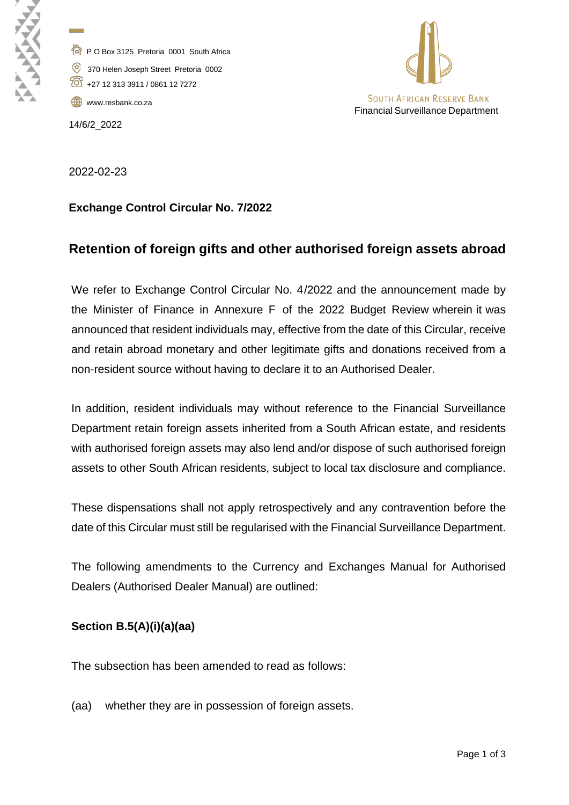P O Box 3125 Pretoria 0001 South Africa 370 Helen Joseph Street Pretoria 0002

+27 12 313 3911 / 0861 12 7272

[www.resbank.co.za](http://www.resbank.co.za/)

14/6/2\_2022

**Contract Contract** 



2022-02-23

### **Exchange Control Circular No. 7/2022**

# **Retention of foreign gifts and other authorised foreign assets abroad**

We refer to Exchange Control Circular No. 4/2022 and the announcement made by the Minister of Finance in Annexure F of the 2022 Budget Review wherein it was announced that resident individuals may, effective from the date of this Circular, receive and retain abroad monetary and other legitimate gifts and donations received from a non-resident source without having to declare it to an Authorised Dealer.

In addition, resident individuals may without reference to the Financial Surveillance Department retain foreign assets inherited from a South African estate, and residents with authorised foreign assets may also lend and/or dispose of such authorised foreign assets to other South African residents, subject to local tax disclosure and compliance.

These dispensations shall not apply retrospectively and any contravention before the date of this Circular must still be regularised with the Financial Surveillance Department.

The following amendments to the Currency and Exchanges Manual for Authorised Dealers (Authorised Dealer Manual) are outlined:

### **Section B.5(A)(i)(a)(aa)**

The subsection has been amended to read as follows:

(aa) whether they are in possession of foreign assets.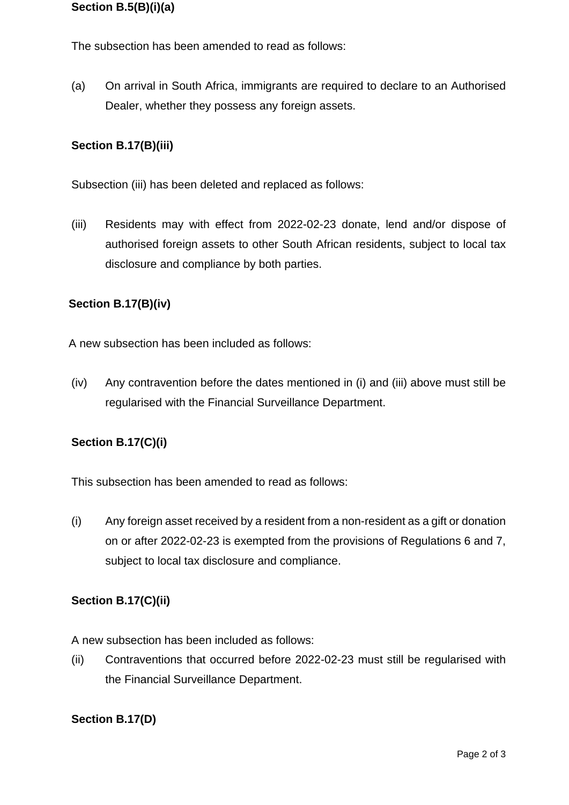### **Section B.5(B)(i)(a)**

The subsection has been amended to read as follows:

(a) On arrival in South Africa, immigrants are required to declare to an Authorised Dealer, whether they possess any foreign assets.

### **Section B.17(B)(iii)**

Subsection (iii) has been deleted and replaced as follows:

(iii) Residents may with effect from 2022-02-23 donate, lend and/or dispose of authorised foreign assets to other South African residents, subject to local tax disclosure and compliance by both parties.

### **Section B.17(B)(iv)**

A new subsection has been included as follows:

(iv) Any contravention before the dates mentioned in (i) and (iii) above must still be regularised with the Financial Surveillance Department.

#### **Section B.17(C)(i)**

This subsection has been amended to read as follows:

(i) Any foreign asset received by a resident from a non-resident as a gift or donation on or after 2022-02-23 is exempted from the provisions of Regulations 6 and 7, subject to local tax disclosure and compliance.

#### **Section B.17(C)(ii)**

A new subsection has been included as follows:

(ii) Contraventions that occurred before 2022-02-23 must still be regularised with the Financial Surveillance Department.

#### **Section B.17(D)**